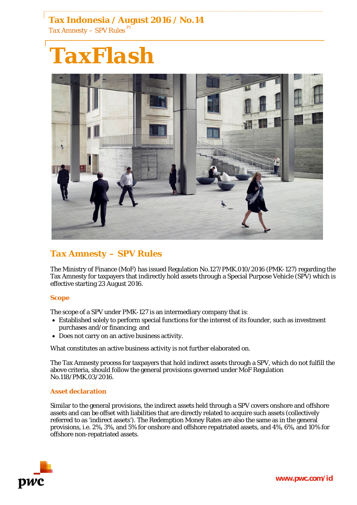**Tax Indonesia / August 2016 / No.14** *Tax Amnesty – SPV Rules P1*

# *TaxFlash*



# *Tax Amnesty – SPV Rules*

The Ministry of Finance (MoF) has issued Regulation No.127/PMK.010/2016 (PMK-127) regarding the Tax Amnesty for taxpayers that indirectly hold assets through a Special Purpose Vehicle (SPV) which is effective starting 23 August 2016.

# **Scope**

The scope of a SPV under PMK-127 is an intermediary company that is:

- Established solely to perform special functions for the interest of its founder, such as investment purchases and/or financing; and
- Does not carry on an active business activity.

What constitutes an active business activity is not further elaborated on.

The Tax Amnesty process for taxpayers that hold indirect assets through a SPV, which do not fulfill the above criteria, should follow the general provisions governed under MoF Regulation No.118/PMK.03/2016.

#### **Asset declaration**

Similar to the general provisions, the indirect assets held through a SPV covers onshore and offshore assets and can be offset with liabilities that are directly related to acquire such assets (collectively referred to as 'indirect assets'). The Redemption Money Rates are also the same as in the general provisions, i.e. 2%, 3%, and 5% for onshore and offshore repatriated assets, and 4%, 6%, and 10% for offshore non-repatriated assets.

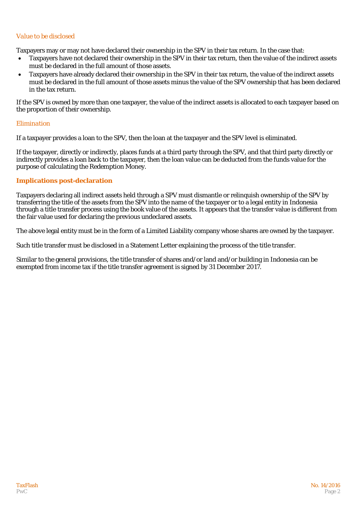# *Value to be disclosed*

Taxpayers may or may not have declared their ownership in the SPV in their tax return. In the case that:

- Taxpayers have not declared their ownership in the SPV in their tax return, then the value of the indirect assets must be declared in the full amount of those assets.
- Taxpayers have already declared their ownership in the SPV in their tax return, the value of the indirect assets must be declared in the full amount of those assets minus the value of the SPV ownership that has been declared in the tax return.

If the SPV is owned by more than one taxpayer, the value of the indirect assets is allocated to each taxpayer based on the proportion of their ownership.

### *Elimination*

If a taxpayer provides a loan to the SPV, then the loan at the taxpayer and the SPV level is eliminated.

If the taxpayer, directly or indirectly, places funds at a third party through the SPV, and that third party directly or indirectly provides a loan back to the taxpayer, then the loan value can be deducted from the funds value for the purpose of calculating the Redemption Money.

### **Implications post-declaration**

Taxpayers declaring all indirect assets held through a SPV must dismantle or relinquish ownership of the SPV by transferring the title of the assets from the SPV into the name of the taxpayer or to a legal entity in Indonesia through a title transfer process using the book value of the assets. It appears that the transfer value is different from the fair value used for declaring the previous undeclared assets.

The above legal entity must be in the form of a Limited Liability company whose shares are owned by the taxpayer.

Such title transfer must be disclosed in a Statement Letter explaining the process of the title transfer.

Similar to the general provisions, the title transfer of shares and/or land and/or building in Indonesia can be exempted from income tax if the title transfer agreement is signed by 31 December 2017.